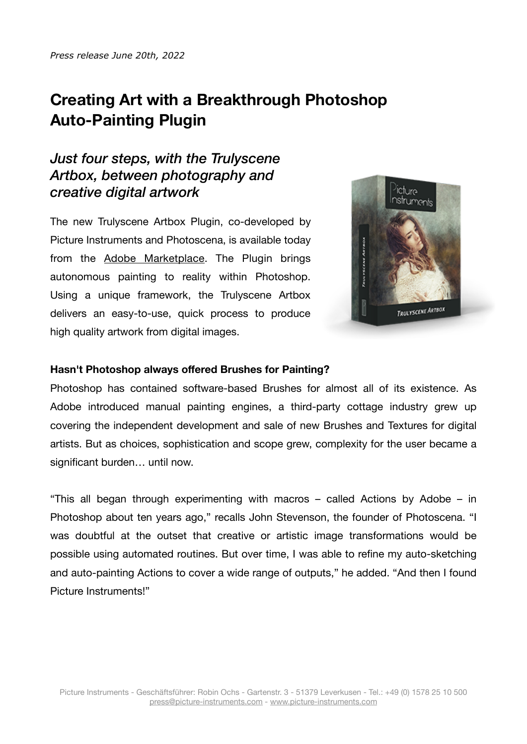# **Creating Art with a Breakthrough Photoshop Auto-Painting Plugin**

## *Just four steps, with the Trulyscene Artbox, between photography and creative digital artwork*

The new Trulyscene Artbox Plugin, co-developed by Picture Instruments and Photoscena, is available today from the [Adobe Marketplace](https://exchange.adobe.com/creativecloud/plugindetails.html/app/cc/0dbc8007?pluginId=0dbc8007&workflow=share). The Plugin brings autonomous painting to reality within Photoshop. Using a unique framework, the Trulyscene Artbox delivers an easy-to-use, quick process to produce high quality artwork from digital images.



#### **Hasn't Photoshop always offered Brushes for Painting?**

Photoshop has contained software-based Brushes for almost all of its existence. As Adobe introduced manual painting engines, a third-party cottage industry grew up covering the independent development and sale of new Brushes and Textures for digital artists. But as choices, sophistication and scope grew, complexity for the user became a significant burden… until now.

"This all began through experimenting with macros – called Actions by Adobe – in Photoshop about ten years ago," recalls John Stevenson, the founder of Photoscena. "I was doubtful at the outset that creative or artistic image transformations would be possible using automated routines. But over time, I was able to refine my auto-sketching and auto-painting Actions to cover a wide range of outputs," he added. "And then I found Picture Instruments!"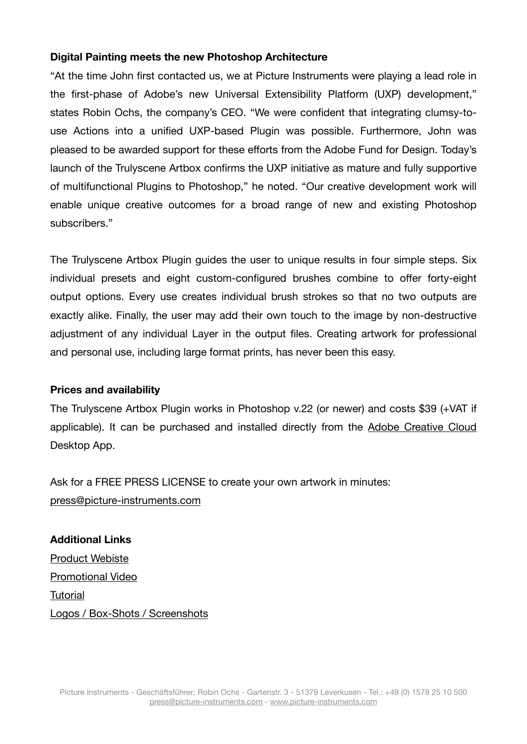### **Digital Painting meets the new Photoshop Architecture**

"At the time John first contacted us, we at Picture Instruments were playing a lead role in the first-phase of Adobe's new Universal Extensibility Platform (UXP) development," states Robin Ochs, the company's CEO. "We were confident that integrating clumsy-touse Actions into a unified UXP-based Plugin was possible. Furthermore, John was pleased to be awarded support for these efforts from the Adobe Fund for Design. Today's launch of the Trulyscene Artbox confirms the UXP initiative as mature and fully supportive of multifunctional Plugins to Photoshop," he noted. "Our creative development work will enable unique creative outcomes for a broad range of new and existing Photoshop subscribers."

The Trulyscene Artbox Plugin guides the user to unique results in four simple steps. Six individual presets and eight custom-configured brushes combine to offer forty-eight output options. Every use creates individual brush strokes so that no two outputs are exactly alike. Finally, the user may add their own touch to the image by non-destructive adjustment of any individual Layer in the output files. Creating artwork for professional and personal use, including large format prints, has never been this easy.

#### **Prices and availability**

The Trulyscene Artbox Plugin works in Photoshop v.22 (or newer) and costs \$39 (+VAT if applicable). It can be purchased and installed directly from the [Adobe Creative Cloud](https://exchange.adobe.com/creativecloud/plugindetails.html/app/cc/0dbc8007?pluginId=0dbc8007&workflow=share) Desktop App.

Ask for a FREE PRESS LICENSE to create your own artwork in minutes: [press@picture-instruments.com](mailto:press@picture-instruments.com)

**Additional Links**  [Product Webiste](http://www.pic-in.de/trulyscene) [Promotional Video](https://youtu.be/6jXDDYknrtw) [Tutorial](https://youtu.be/3u54vAugKnE) [Logos / Box-Shots / Screenshots](http://www.picture-instruments.com/company/press.php)